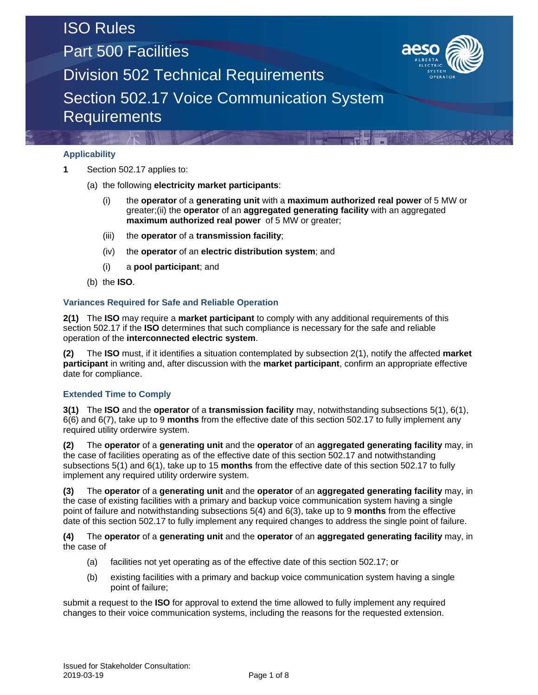Part 500 Facilities



Division 502 Technical Requirements

Section 502.17 Voice Communication System **Requirements** 

### **Applicability**

- **1** Section 502.17 applies to:
	- (a) the following **electricity market participants**:
		- (i) the **operator** of a **generating unit** with a **maximum authorized real power** of 5 MW or greater;(ii) the **operator** of an **aggregated generating facility** with an aggregated **maximum authorized real power** of 5 MW or greater;
		- (iii) the **operator** of a **transmission facility**;
		- (iv) the **operator** of an **electric distribution system**; and
		- (i) a **pool participant**; and
	- (b) the **ISO**.

#### **Variances Required for Safe and Reliable Operation**

**2(1)** The **ISO** may require a **market participant** to comply with any additional requirements of this section 502.17 if the **ISO** determines that such compliance is necessary for the safe and reliable operation of the **interconnected electric system**.

**(2)** The **ISO** must, if it identifies a situation contemplated by subsection 2(1), notify the affected **market participant** in writing and, after discussion with the **market participant**, confirm an appropriate effective date for compliance.

### **Extended Time to Comply**

**3(1)** The **ISO** and the **operator** of a **transmission facility** may, notwithstanding subsections 5(1), 6(1), 6(6) and 6(7), take up to 9 **months** from the effective date of this section 502.17 to fully implement any required utility orderwire system.

**(2)** The **operator** of a **generating unit** and the **operator** of an **aggregated generating facility** may, in the case of facilities operating as of the effective date of this section 502.17 and notwithstanding subsections 5(1) and 6(1), take up to 15 **months** from the effective date of this section 502.17 to fully implement any required utility orderwire system.

**(3)** The **operator** of a **generating unit** and the **operator** of an **aggregated generating facility** may, in the case of existing facilities with a primary and backup voice communication system having a single point of failure and notwithstanding subsections 5(4) and 6(3), take up to 9 **months** from the effective date of this section 502.17 to fully implement any required changes to address the single point of failure.

**(4)** The **operator** of a **generating unit** and the **operator** of an **aggregated generating facility** may, in the case of

- (a) facilities not yet operating as of the effective date of this section 502.17; or
- (b) existing facilities with a primary and backup voice communication system having a single point of failure;

submit a request to the **ISO** for approval to extend the time allowed to fully implement any required changes to their voice communication systems, including the reasons for the requested extension.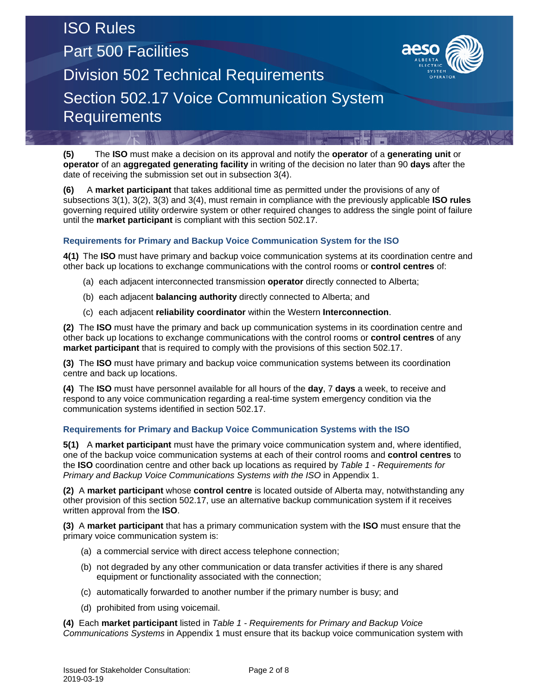## ISO Rules Part 500 Facilities Division 502 Technical Requirements Section 502.17 Voice Communication System **Requirements**



**(5)** The **ISO** must make a decision on its approval and notify the **operator** of a **generating unit** or **operator** of an **aggregated generating facility** in writing of the decision no later than 90 **days** after the date of receiving the submission set out in subsection 3(4).

**(6)** A **market participant** that takes additional time as permitted under the provisions of any of subsections 3(1), 3(2), 3(3) and 3(4), must remain in compliance with the previously applicable **ISO rules** governing required utility orderwire system or other required changes to address the single point of failure until the **market participant** is compliant with this section 502.17.

### **Requirements for Primary and Backup Voice Communication System for the ISO**

**4(1)** The **ISO** must have primary and backup voice communication systems at its coordination centre and other back up locations to exchange communications with the control rooms or **control centres** of:

- (a) each adjacent interconnected transmission **operator** directly connected to Alberta;
- (b) each adjacent **balancing authority** directly connected to Alberta; and
- (c) each adjacent **reliability coordinator** within the Western **Interconnection**.

**(2)** The **ISO** must have the primary and back up communication systems in its coordination centre and other back up locations to exchange communications with the control rooms or **control centres** of any **market participant** that is required to comply with the provisions of this section 502.17.

**(3)** The **ISO** must have primary and backup voice communication systems between its coordination centre and back up locations.

**(4)** The **ISO** must have personnel available for all hours of the **day**, 7 **days** a week, to receive and respond to any voice communication regarding a real-time system emergency condition via the communication systems identified in section 502.17.

#### **Requirements for Primary and Backup Voice Communication Systems with the ISO**

**5(1)** A **market participant** must have the primary voice communication system and, where identified, one of the backup voice communication systems at each of their control rooms and **control centres** to the **ISO** coordination centre and other back up locations as required by *Table 1 - Requirements for Primary and Backup Voice Communications Systems with the ISO* in Appendix 1.

**(2)** A **market participant** whose **control centre** is located outside of Alberta may, notwithstanding any other provision of this section 502.17, use an alternative backup communication system if it receives written approval from the **ISO**.

**(3)** A **market participant** that has a primary communication system with the **ISO** must ensure that the primary voice communication system is:

- (a) a commercial service with direct access telephone connection;
- (b) not degraded by any other communication or data transfer activities if there is any shared equipment or functionality associated with the connection;
- (c) automatically forwarded to another number if the primary number is busy; and
- (d) prohibited from using voicemail.

**(4)** Each **market participant** listed in *Table 1 - Requirements for Primary and Backup Voice Communications Systems* in Appendix 1 must ensure that its backup voice communication system with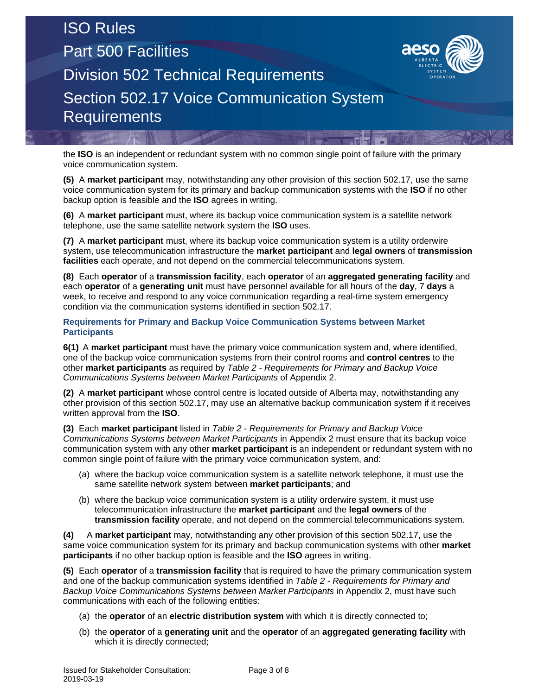# ISO Rules Part 500 Facilities Division 502 Technical Requirements Section 502.17 Voice Communication System **Requirements**



the **ISO** is an independent or redundant system with no common single point of failure with the primary voice communication system.

**(5)** A **market participant** may, notwithstanding any other provision of this section 502.17, use the same voice communication system for its primary and backup communication systems with the **ISO** if no other backup option is feasible and the **ISO** agrees in writing.

**(6)** A **market participant** must, where its backup voice communication system is a satellite network telephone, use the same satellite network system the **ISO** uses.

**(7)** A **market participant** must, where its backup voice communication system is a utility orderwire system, use telecommunication infrastructure the **market participant** and **legal owners** of **transmission facilities** each operate, and not depend on the commercial telecommunications system.

**(8)** Each **operator** of a **transmission facility**, each **operator** of an **aggregated generating facility** and each **operator** of a **generating unit** must have personnel available for all hours of the **day**, 7 **days** a week, to receive and respond to any voice communication regarding a real-time system emergency condition via the communication systems identified in section 502.17.

**Requirements for Primary and Backup Voice Communication Systems between Market Participants**

**6(1)** A **market participant** must have the primary voice communication system and, where identified, one of the backup voice communication systems from their control rooms and **control centres** to the other **market participants** as required by *Table 2 - Requirements for Primary and Backup Voice Communications Systems between Market Participants* of Appendix 2.

**(2)** A **market participant** whose control centre is located outside of Alberta may, notwithstanding any other provision of this section 502.17, may use an alternative backup communication system if it receives written approval from the **ISO**.

**(3)** Each **market participant** listed in *Table 2 - Requirements for Primary and Backup Voice Communications Systems between Market Participants* in Appendix 2 must ensure that its backup voice communication system with any other **market participant** is an independent or redundant system with no common single point of failure with the primary voice communication system, and:

- (a) where the backup voice communication system is a satellite network telephone, it must use the same satellite network system between **market participants**; and
- (b) where the backup voice communication system is a utility orderwire system, it must use telecommunication infrastructure the **market participant** and the **legal owners** of the **transmission facility** operate, and not depend on the commercial telecommunications system.

**(4)** A **market participant** may, notwithstanding any other provision of this section 502.17, use the same voice communication system for its primary and backup communication systems with other **market participants** if no other backup option is feasible and the **ISO** agrees in writing.

**(5)** Each **operator** of a **transmission facility** that is required to have the primary communication system and one of the backup communication systems identified in *Table 2 - Requirements for Primary and Backup Voice Communications Systems between Market Participants* in Appendix 2, must have such communications with each of the following entities:

- (a) the **operator** of an **electric distribution system** with which it is directly connected to;
- (b) the **operator** of a **generating unit** and the **operator** of an **aggregated generating facility** with which it is directly connected;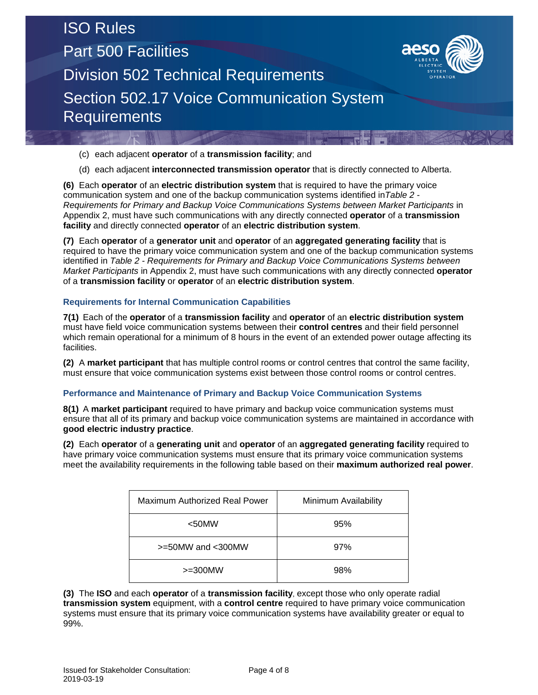Part 500 Facilities



Division 502 Technical Requirements

Section 502.17 Voice Communication System **Requirements** 

- (c) each adjacent **operator** of a **transmission facility**; and
- (d) each adjacent **interconnected transmission operator** that is directly connected to Alberta.

**(6)** Each **operator** of an **electric distribution system** that is required to have the primary voice communication system and one of the backup communication systems identified in*Table 2 - Requirements for Primary and Backup Voice Communications Systems between Market Participants* in Appendix 2, must have such communications with any directly connected **operator** of a **transmission facility** and directly connected **operator** of an **electric distribution system**.

**(7)** Each **operator** of a **generator unit** and **operator** of an **aggregated generating facility** that is required to have the primary voice communication system and one of the backup communication systems identified in *Table 2 - Requirements for Primary and Backup Voice Communications Systems between Market Participants* in Appendix 2, must have such communications with any directly connected **operator** of a **transmission facility** or **operator** of an **electric distribution system**.

### **Requirements for Internal Communication Capabilities**

**7(1)** Each of the **operator** of a **transmission facility** and **operator** of an **electric distribution system** must have field voice communication systems between their **control centres** and their field personnel which remain operational for a minimum of 8 hours in the event of an extended power outage affecting its facilities.

**(2)** A **market participant** that has multiple control rooms or control centres that control the same facility, must ensure that voice communication systems exist between those control rooms or control centres.

### **Performance and Maintenance of Primary and Backup Voice Communication Systems**

**8(1)** A **market participant** required to have primary and backup voice communication systems must ensure that all of its primary and backup voice communication systems are maintained in accordance with **good electric industry practice**.

**(2)** Each **operator** of a **generating unit** and **operator** of an **aggregated generating facility** required to have primary voice communication systems must ensure that its primary voice communication systems meet the availability requirements in the following table based on their **maximum authorized real power**.

| Maximum Authorized Real Power | Minimum Availability |  |  |  |
|-------------------------------|----------------------|--|--|--|
| $<$ 50MW                      | 95%                  |  |  |  |
| >=50MW and <300MW             | 97%                  |  |  |  |
| $>=300$ MW                    | 98%                  |  |  |  |

**(3)** The **ISO** and each **operator** of a **transmission facility**, except those who only operate radial **transmission system** equipment, with a **control centre** required to have primary voice communication systems must ensure that its primary voice communication systems have availability greater or equal to 99%.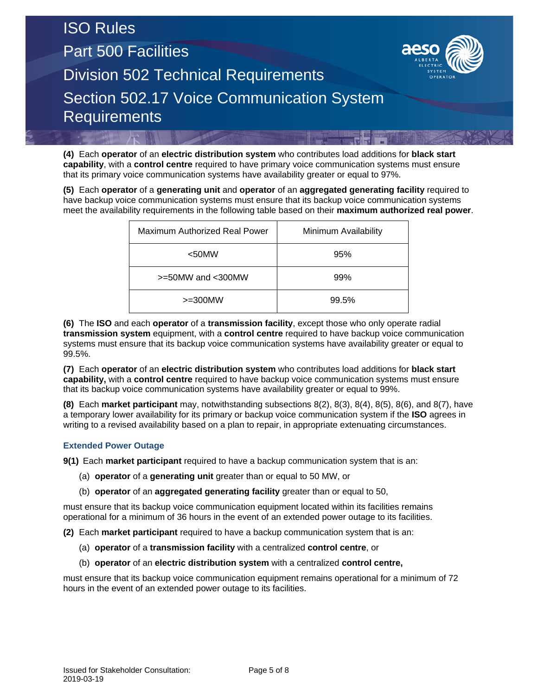# ISO Rules Part 500 Facilities Division 502 Technical Requirements Section 502.17 Voice Communication System **Requirements**

**(4)** Each **operator** of an **electric distribution system** who contributes load additions for **black start capability**, with a **control centre** required to have primary voice communication systems must ensure that its primary voice communication systems have availability greater or equal to 97%.

**(5)** Each **operator** of a **generating unit** and **operator** of an **aggregated generating facility** required to have backup voice communication systems must ensure that its backup voice communication systems meet the availability requirements in the following table based on their **maximum authorized real power**.

| Maximum Authorized Real Power | Minimum Availability |  |  |  |
|-------------------------------|----------------------|--|--|--|
| $<$ 50MW                      | 95%                  |  |  |  |
| >=50MW and <300MW             | 99%                  |  |  |  |
| $>=300$ MW                    | 99.5%                |  |  |  |

**(6)** The **ISO** and each **operator** of a **transmission facility**, except those who only operate radial **transmission system** equipment, with a **control centre** required to have backup voice communication systems must ensure that its backup voice communication systems have availability greater or equal to 99.5%.

**(7)** Each **operator** of an **electric distribution system** who contributes load additions for **black start capability,** with a **control centre** required to have backup voice communication systems must ensure that its backup voice communication systems have availability greater or equal to 99%.

**(8)** Each **market participant** may, notwithstanding subsections 8(2), 8(3), 8(4), 8(5), 8(6), and 8(7), have a temporary lower availability for its primary or backup voice communication system if the **ISO** agrees in writing to a revised availability based on a plan to repair, in appropriate extenuating circumstances.

### **Extended Power Outage**

**9(1)** Each **market participant** required to have a backup communication system that is an:

- (a) **operator** of a **generating unit** greater than or equal to 50 MW, or
- (b) **operator** of an **aggregated generating facility** greater than or equal to 50,

must ensure that its backup voice communication equipment located within its facilities remains operational for a minimum of 36 hours in the event of an extended power outage to its facilities.

**(2)** Each **market participant** required to have a backup communication system that is an:

- (a) **operator** of a **transmission facility** with a centralized **control centre**, or
- (b) **operator** of an **electric distribution system** with a centralized **control centre,**

must ensure that its backup voice communication equipment remains operational for a minimum of 72 hours in the event of an extended power outage to its facilities.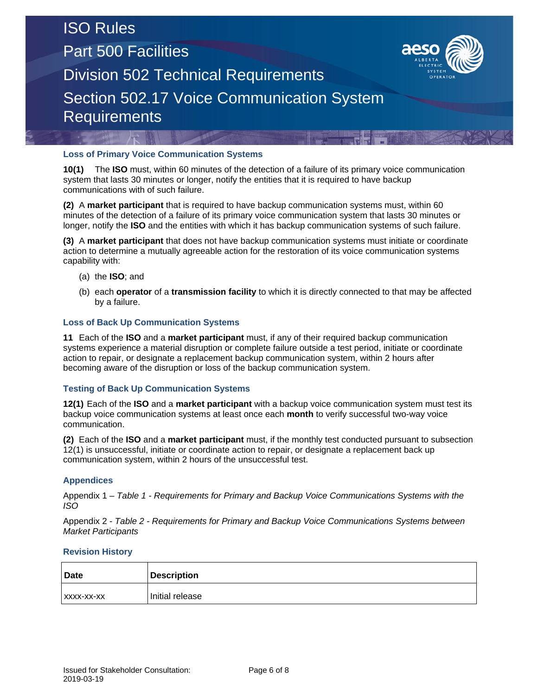Part 500 Facilities



Division 502 Technical Requirements

Section 502.17 Voice Communication System **Requirements** 

### **Loss of Primary Voice Communication Systems**

**10(1)** The **ISO** must, within 60 minutes of the detection of a failure of its primary voice communication system that lasts 30 minutes or longer, notify the entities that it is required to have backup communications with of such failure.

**(2)** A **market participant** that is required to have backup communication systems must, within 60 minutes of the detection of a failure of its primary voice communication system that lasts 30 minutes or longer, notify the **ISO** and the entities with which it has backup communication systems of such failure.

**(3)** A **market participant** that does not have backup communication systems must initiate or coordinate action to determine a mutually agreeable action for the restoration of its voice communication systems capability with:

- (a) the **ISO**; and
- (b) each **operator** of a **transmission facility** to which it is directly connected to that may be affected by a failure.

### **Loss of Back Up Communication Systems**

**11** Each of the **ISO** and a **market participant** must, if any of their required backup communication systems experience a material disruption or complete failure outside a test period, initiate or coordinate action to repair, or designate a replacement backup communication system, within 2 hours after becoming aware of the disruption or loss of the backup communication system.

### **Testing of Back Up Communication Systems**

**12(1)** Each of the **ISO** and a **market participant** with a backup voice communication system must test its backup voice communication systems at least once each **month** to verify successful two-way voice communication.

**(2)** Each of the **ISO** and a **market participant** must, if the monthly test conducted pursuant to subsection 12(1) is unsuccessful, initiate or coordinate action to repair, or designate a replacement back up communication system, within 2 hours of the unsuccessful test.

### **Appendices**

Appendix 1 – *Table 1 - Requirements for Primary and Backup Voice Communications Systems with the ISO*

Appendix 2 - *Table 2 - Requirements for Primary and Backup Voice Communications Systems between Market Participants*

#### **Revision History**

| <b>Date</b> | <b>Description</b> |
|-------------|--------------------|
| XXXX-XX-XX  | Initial release    |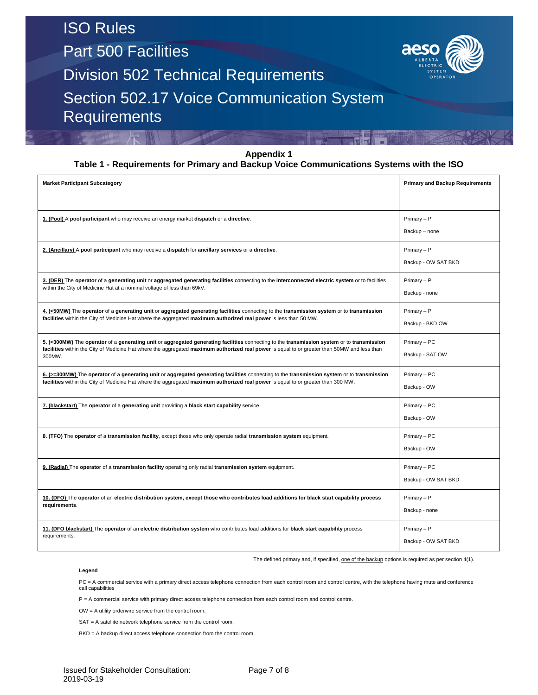Part 500 Facilities



Division 502 Technical Requirements

Section 502.17 Voice Communication System **Requirements** 

#### **Appendix 1**

#### **Table 1 - Requirements for Primary and Backup Voice Communications Systems with the ISO**

| <b>Market Participant Subcategory</b>                                                                                                                                                                                                                                                                | <b>Primary and Backup Requirements</b> |
|------------------------------------------------------------------------------------------------------------------------------------------------------------------------------------------------------------------------------------------------------------------------------------------------------|----------------------------------------|
| 1. (Pool) A pool participant who may receive an energy market dispatch or a directive.                                                                                                                                                                                                               | Primary - P<br>Backup - none           |
| 2. (Ancillary) A pool participant who may receive a dispatch for ancillary services or a directive.                                                                                                                                                                                                  | Primary - P<br>Backup - OW SAT BKD     |
| 3. (DER) The operator of a generating unit or aggregated generating facilities connecting to the interconnected electric system or to facilities<br>within the City of Medicine Hat at a nominal voltage of less than 69kV.                                                                          | Primary - P<br>Backup - none           |
| 4. (<50MW) The operator of a generating unit or aggregated generating facilities connecting to the transmission system or to transmission<br>facilities within the City of Medicine Hat where the aggregated maximum authorized real power is less than 50 MW.                                       | Primary - P<br>Backup - BKD OW         |
| 5. (<300MW) The operator of a generating unit or aggregated generating facilities connecting to the transmission system or to transmission<br>facilities within the City of Medicine Hat where the aggregated maximum authorized real power is equal to or greater than 50MW and less than<br>300MW. | Primary - PC<br>Backup - SAT OW        |
| 6. (>=300MW) The operator of a generating unit or aggregated generating facilities connecting to the transmission system or to transmission<br>facilities within the City of Medicine Hat where the aggregated maximum authorized real power is equal to or greater than 300 MW.                     | Primary - PC<br>Backup - OW            |
| 7. (blackstart) The operator of a generating unit providing a black start capability service.                                                                                                                                                                                                        | Primary - PC<br>Backup - OW            |
| 8. (TFO) The operator of a transmission facility, except those who only operate radial transmission system equipment.                                                                                                                                                                                | Primary - PC<br>Backup - OW            |
| 9. (Radial) The operator of a transmission facility operating only radial transmission system equipment.                                                                                                                                                                                             | Primary - PC<br>Backup - OW SAT BKD    |
| 10. (DFO) The operator of an electric distribution system, except those who contributes load additions for black start capability process<br>requirements.                                                                                                                                           | Primary - P<br>Backup - none           |
| 11. (DFO blackstart) The operator of an electric distribution system who contributes load additions for black start capability process<br>requirements.                                                                                                                                              | Primary - P<br>Backup - OW SAT BKD     |

The defined primary and, if specified, one of the backup options is required as per section 4(1).

#### **Legend**

PC = A commercial service with a primary direct access telephone connection from each control room and control centre, with the telephone having mute and conference call capabilities

P = A commercial service with primary direct access telephone connection from each control room and control centre.

OW = A utility orderwire service from the control room.

SAT = A satellite network telephone service from the control room.

BKD = A backup direct access telephone connection from the control room.